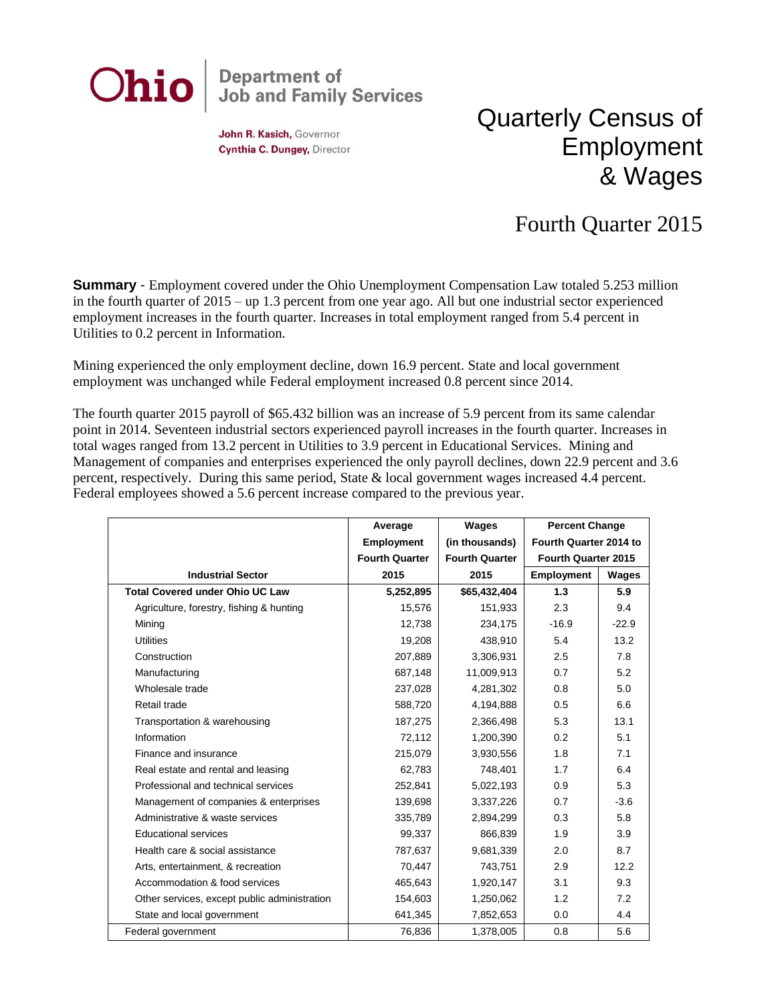

John R. Kasich, Governor Cynthia C. Dungey, Director

## Quarterly Census of Employment & Wages

## Fourth Quarter 2015

**Summary** - Employment covered under the Ohio Unemployment Compensation Law totaled 5.253 million in the fourth quarter of 2015 – up 1.3 percent from one year ago. All but one industrial sector experienced employment increases in the fourth quarter. Increases in total employment ranged from 5.4 percent in Utilities to 0.2 percent in Information.

Mining experienced the only employment decline, down 16.9 percent. State and local government employment was unchanged while Federal employment increased 0.8 percent since 2014.

The fourth quarter 2015 payroll of \$65.432 billion was an increase of 5.9 percent from its same calendar point in 2014. Seventeen industrial sectors experienced payroll increases in the fourth quarter. Increases in total wages ranged from 13.2 percent in Utilities to 3.9 percent in Educational Services. Mining and Management of companies and enterprises experienced the only payroll declines, down 22.9 percent and 3.6 percent, respectively. During this same period, State & local government wages increased 4.4 percent. Federal employees showed a 5.6 percent increase compared to the previous year.

|                                              | Average               | Wages                 | <b>Percent Change</b>      |         |
|----------------------------------------------|-----------------------|-----------------------|----------------------------|---------|
|                                              | <b>Employment</b>     | (in thousands)        | Fourth Quarter 2014 to     |         |
|                                              | <b>Fourth Quarter</b> | <b>Fourth Quarter</b> | <b>Fourth Quarter 2015</b> |         |
| <b>Industrial Sector</b>                     | 2015                  | 2015                  | <b>Employment</b>          | Wages   |
| <b>Total Covered under Ohio UC Law</b>       | 5,252,895             | \$65,432,404          | 1.3                        | 5.9     |
| Agriculture, forestry, fishing & hunting     | 15,576                | 151,933               | 2.3                        | 9.4     |
| Mining                                       | 12,738                | 234,175               | $-16.9$                    | $-22.9$ |
| <b>Utilities</b>                             | 19,208                | 438,910               | 5.4                        | 13.2    |
| Construction                                 | 207,889               | 3,306,931             | 2.5                        | 7.8     |
| Manufacturing                                | 687,148               | 11,009,913            | 0.7                        | 5.2     |
| Wholesale trade                              | 237,028               | 4,281,302             | 0.8                        | 5.0     |
| Retail trade                                 | 588,720               | 4,194,888             | 0.5                        | 6.6     |
| Transportation & warehousing                 | 187,275               | 2,366,498             | 5.3                        | 13.1    |
| Information                                  | 72,112                | 1,200,390             | 0.2                        | 5.1     |
| Finance and insurance                        | 215,079               | 3,930,556             | 1.8                        | 7.1     |
| Real estate and rental and leasing           | 62,783                | 748,401               | 1.7                        | 6.4     |
| Professional and technical services          | 252,841               | 5,022,193             | 0.9                        | 5.3     |
| Management of companies & enterprises        | 139,698               | 3,337,226             | 0.7                        | $-3.6$  |
| Administrative & waste services              | 335,789               | 2,894,299             | 0.3                        | 5.8     |
| <b>Educational services</b>                  | 99,337                | 866,839               | 1.9                        | 3.9     |
| Health care & social assistance              | 787.637               | 9,681,339             | 2.0                        | 8.7     |
| Arts, entertainment, & recreation            | 70,447                | 743,751               | 2.9                        | 12.2    |
| Accommodation & food services                | 465,643               | 1,920,147             | 3.1                        | 9.3     |
| Other services, except public administration | 154,603               | 1,250,062             | 1.2                        | 7.2     |
| State and local government                   | 641,345               | 7,852,653             | 0.0                        | 4.4     |
| Federal government                           | 76,836                | 1,378,005             | 0.8                        | 5.6     |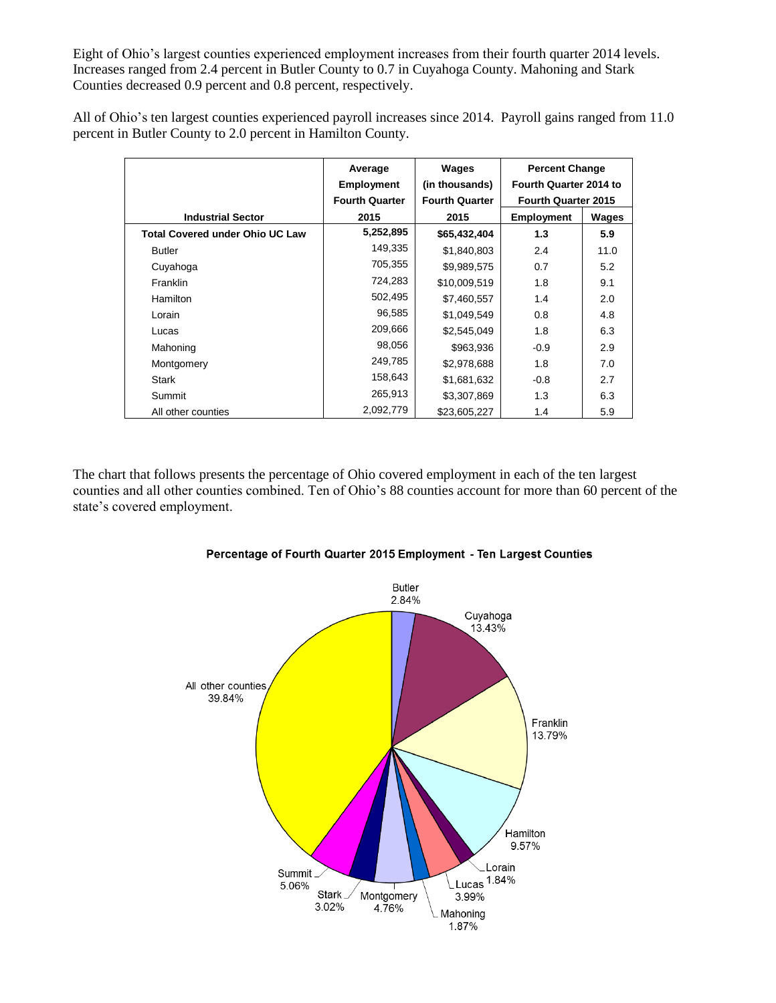Eight of Ohio's largest counties experienced employment increases from their fourth quarter 2014 levels. Increases ranged from 2.4 percent in Butler County to 0.7 in Cuyahoga County. Mahoning and Stark Counties decreased 0.9 percent and 0.8 percent, respectively.

All of Ohio's ten largest counties experienced payroll increases since 2014. Payroll gains ranged from 11.0 percent in Butler County to 2.0 percent in Hamilton County.

|                                        | Average               | Wages                 | <b>Percent Change</b>      |       |
|----------------------------------------|-----------------------|-----------------------|----------------------------|-------|
|                                        | <b>Employment</b>     | (in thousands)        | Fourth Quarter 2014 to     |       |
|                                        | <b>Fourth Quarter</b> | <b>Fourth Quarter</b> | <b>Fourth Quarter 2015</b> |       |
| <b>Industrial Sector</b>               | 2015                  | 2015                  | <b>Employment</b>          | Wages |
| <b>Total Covered under Ohio UC Law</b> | 5,252,895             | \$65,432,404          | 1.3                        | 5.9   |
| <b>Butler</b>                          | 149,335               | \$1,840,803           | 2.4                        | 11.0  |
| Cuyahoga                               | 705,355               | \$9,989,575           | 0.7                        | 5.2   |
| <b>Franklin</b>                        | 724,283               | \$10,009,519          | 1.8                        | 9.1   |
| Hamilton                               | 502,495               | \$7,460,557           | 1.4                        | 2.0   |
| Lorain                                 | 96,585                | \$1.049.549           | 0.8                        | 4.8   |
| Lucas                                  | 209,666               | \$2,545,049           | 1.8                        | 6.3   |
| Mahoning                               | 98,056                | \$963,936             | $-0.9$                     | 2.9   |
| Montgomery                             | 249,785               | \$2,978,688           | 1.8                        | 7.0   |
| Stark                                  | 158,643               | \$1,681,632           | $-0.8$                     | 2.7   |
| Summit                                 | 265,913               | \$3,307,869           | 1.3                        | 6.3   |
| All other counties                     | 2,092,779             | \$23,605,227          | 1.4                        | 5.9   |

The chart that follows presents the percentage of Ohio covered employment in each of the ten largest counties and all other counties combined. Ten of Ohio's 88 counties account for more than 60 percent of the state's covered employment.



## Percentage of Fourth Quarter 2015 Employment - Ten Largest Counties